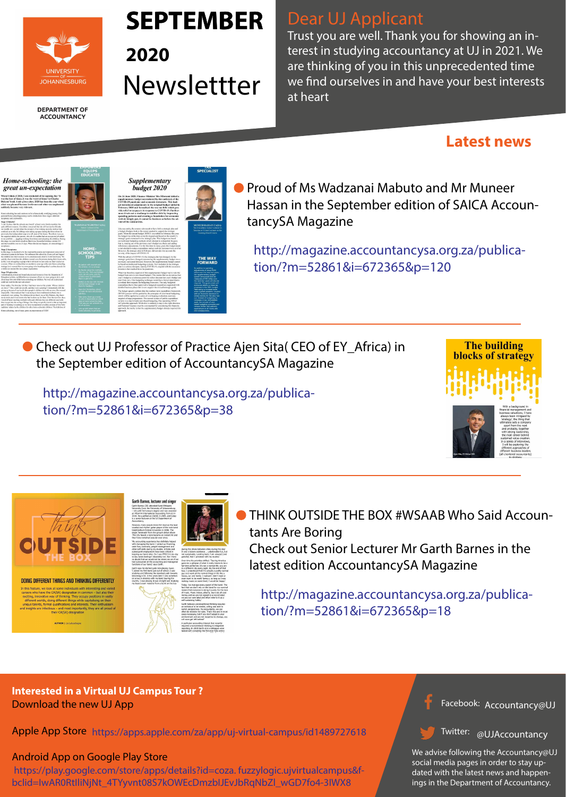

#### **DEPARTMENT OF ACCOUNTANCY**

**• Proud of Ms Wadzanai Mabuto and Mr Muneer** Hassan in the September edition of SAICA AccountancySA Magazine

http://magazine.accountancysa.org.za/publication/?m=52861&i=672365&p=120



**HOME-**

**SCHOOLING** 

**TIPS** 

http://magazine.accountancysa.org.za/publication/?m=52861&i=672365&p=38





#### DOING DIFFERENT THINGS AND THINKING DIFFERENTLY

In this feature, we look at some individuals with interesting and varied careers who have the CA(SA) designation in common - but also their exciting, innovative way of thinking. They occupy positions in vastly different worlds, doing different things while capitalising on their unique talents, formal qualifications and interests. Their enthusiasm and insights are infectious - and most importantly, they are all proud of their CA(SA) designation

**AUTHOR | Lia Labuschagne** 

**Garth Barnes, lecturer and singer** Garth Barnes (39) attended Rand Afrikaans University (now the University of Johannesburg - UJ) until his honours degree and was awarded<br>an MComm International Accounting from UJ in 2018. He qualified as CA(SA) in 2009, and today is a senior lecturer at the UJ Department of However, many neonle know him hest as the lead

vocalist and rhythm guitar player of the rock band<br>CrashCarBurn formed in London in 2006. The single 'Serenade' from the group's debut album<br>This City Needs a Hero became an instant hit and they have remained popular ever since. 'My accounting experience has definitely helped with managing the band. I picked up financing,

cash flow, contracts, people management and ousn' novi, condition, people management and<br>other soft skills during my studies. Articles and<br>subsequent employment have been critical in keeping our band alive. Do I use IFRS 9 in my day to day band dealings? Absolutely not. But I have no doubt that we would not be where we are if we

had outsourced all the accounting and managerial functions of our band,' says Garth. Garth says he started quite late playing music 'I joined my first band just out of school. I was tudying and following the standard path towards<br>ecoming a CA. A few years later I was somehow on a bus in America with my band touring the country. I was playing shows at night and studying<br>my board exam material from a bunk on the bus

self-sustaining hobby.'

environment and are not receptive to change, vo will soon get left behind A particular accounting interest that recently equired unconventional thinking is integrated the and the month of the money is integrated.



during the drives between cities during the day! t was a bizarre existence ... unbelievable fun, bu not sustainable. Looking back, I am amazed (and orateful) that I persisted with my studies Over time his priorities shifted. 'Touring America

gave me a glimpse of what it really means to be a<br>full-time performer. It's not a normal life; you are in a different city every night. By the end of that tour, I understood that I'm actually a pretty normal guy and want all the normal things in life like a<br>house, car and family. I realised I didn't need or even want to be world famous: as long as I was ing music on some level, I would be happy. loday, 'we manage every aspect of the band. The

fact that we don't rely on the band for our survival<br>means that everyone is doing it purely for the love of music. Music videos, albums, tours etc all cost noney and we are not signed to a record label ve are our own label and often refer to it as a Garth believes unconventional thinking require an individual to be nimble, willing and able to switch perspectives. 'As accountants, we can often be sticklers for rules. That's fine and in most<br>cases necessary, but if you don't adapt to your

with compiling the first-ever fully online



Facebook:  $h$ ccountancycl Accountancy@UJ

THINK OUTSIDE THE BOX #WSAAB Who Said Accountants Are Boring

#### Twitter: allIAccountancy **WOJACCOUNT** @UJAccountancy

Check out Senior Lecturer Mr Garth Barnes in the latest edition AccountancySA Magazine

> We advise following the Accountancy@UJ social media pages in order to stay updated with the latest news and happenings in the Department of Accountancy.

http://magazine.accountancysa.org.za/publication/?m=52861&i=672365&p=18

● Check out UJ Professor of Practice Ajen Sita( CEO of EY\_Africa) in the September edition of AccountancySA Magazine

### **Interested in a Virtual UJ Campus Tour ?**  Download the new UJ App

### Android App on Google Play Store

Apple App Store https://apps.apple.com/za/app/uj-virtual-campus/id1489727618

 https://play.google.com/store/apps/details?id=coza. fuzzylogic.ujvirtualcampus&fbclid=IwAR0RtIliNjNt\_4TYyvnt08S7kOWEcDmzbIJEvJbRqNbZl\_wGD7fo4-3IWX8

## Dear UJ Applicant

Trust you are well. Thank you for showing an interest in studying accountancy at UJ in 2021. We are thinking of you in this unprecedented time we find ourselves in and have your best interests at heart

# **SEPTEMBER**

**2020**  Newslettter

## **Latest news**

#### Home-schooling: the great un-expectation

When I think of 2020, I am reminded of the opening line 'It was the best of times, it was the worst of times' in Charles Dickens' book A tale of two cities. 2020 has been the year when what was planned became irrelevant and what was unplanned suddenly became very relevant.

Home-schooling has and continues to be a fantastically terrifying journey. Or personal home-schooling journey can be divided into three stages: disbelief, acceptance and exploration

**Stage 1 Disbelief** Super 1 concerned that the schools are closed!" echoed every family member, for quite different reasons. Our eldest: concerned that she will not see her friends; middle one: excited about the prospect of not waking up early; and our las onfused as to why his siblings were taking up space during the times where he somewood is not required to overall areas of the house. Then there were us,<br>previously had independent reign over all areas of the house. Then there were us,<br>the supposed adults, the parents, who all of a sudden had an une and that would be over in 21 days. When this did not happen, we entered stage 2

Stage 2 Acceptance<br>In this stage, we decided to be the responsible parents and implement some sort of<br>education system in the house. We embraced the school-by-Zoom-call and logged the children into their sessions as we simultaneously tried to work from home. We uickly discovered that the children wanted us to be present during their Zoom call successive and the contract wanted to see the state of the section of the state and the set of the state state of the state of the state of the state of the state of the state of the state of the state of the state of the a while) we entered the next phase: exploration

#### **Stage 3 Exploration**

Stage 3 Exploration<br>I downloaded, printed and bound educational resources from the Department of<br>Education website, scribbled down a structure of how we were going to do it, and ved head first into fully home-schooling our children. We were all excited and could not wait for this new adventure

Enter reality. The first day felt like I had been run over by a train: 'Whose children Example and the strategy of the state of the state of the state of the state of the state of the state of the state of the state of the state of the state of the state of the state of the state of the state of the state of sible. I then realised that I was trying to force traditional methods into a mpletely new setting. The children did not know me as Mrs Mabuto, they knew e as mum, and it was mum who had to show up for them. Over the next few days  $\sigma$  as to may at was to muy was not show up to use the executive state ways.<br>The different teaching methods with each child (as they are different) and with<br>the we got into the swing of things. One thing we quickly learn part of learning is teaching, so we have incorporated a weekly creation of YouTub explainer videos by the children for other home-schooled children. The kids love it fome-schooling, one of many great un-expectations of 2020

## **EQUIPS<br>EDUCATES**

budget 2020 On 24 June 2020, Finance Minister Tito Mboweni tabled a supplementary budget necessitated by the outbreak of the<br>COVID-19 pandemic and economic downturn. This budget introduced adjustments to the original budget tabled in February 2020 and formalised the two tax bills which provide relief to taxpayers in response to COVID-19. Furthermore it sets out a roadmap to stabilise debt by improving spending patterns and creating a foundation for econom revival. Simply put, it cannot be business as before the advent of the coronavirus.

and attempt to reduce expenditure and as such tax increases were averted.<br>a real attempt to reduce expenditure and as such tax increases were averted.<br>However, the strategic plan in February did not take into account the<br>s With the advent of COVID-19, the strategic plan has changed. As the Final the answer of the contract parameter pair and stranged graded was a<br>trategic goals have changed, announcing the supplementary budget vas a<br>coessary and sound decision. However, the supplementary budget cannot

Supplementary

be based on traditional budgeting systems. Now included in the strategic<br>plan is a serious disrupter, namely COVID-19, coupled with the economic lownturn that resulted from the pandemi What was therefore required of this supplementary budget was to redo the man was increased required or this supprementary budget was to redo the year's budget as a reference point but rather discount last year's budget and Start if from zero. This budgeting technique would have forced departments<br>start from zero. This budgeting technique would have forced departments<br>to rethink their requests for budgeting from zero. The only budgeted<br>expend detailed business plans that in turn support the revised strategic goals.

The budget speech confirms that the medium-term expenditure framewor (MTEF) process will be guided by the principles of zero-based budgeting<br>which will be applied as a series of overlapping evaluation exercises targeted at large programmes. The current system of public expenditur structure is a step towards zero-based budgeting. The upcoming MTEF will pilot this approach. While this is certainly a step in the right direction and National Treasury must be commended for considering this futuristic an approach, the reality is that the supplementary budget already required this

#### **SPECIALIST**



Like any entity, the country also needs to have both a strategic plan and<br>a budget. Budgets look at the money needed to support the strategic<br>goals. When the annual budget 2020/21 was tabled in February this year, the budget was at the time correctly aligned and based on the country's In bugget was a time time correctly angined and based on the country's<br>strategic goals contained in the strategic plan. This budget was based<br>on traditional budgeting methods which attempt to extrapolate the past, that is, making use of the previous year's budget as a basis and adding nflationary adjustments. For the first time in many years this budget may

**MUNEER HASSAN CA(SA** 

#### **THE WAY FORWARD**